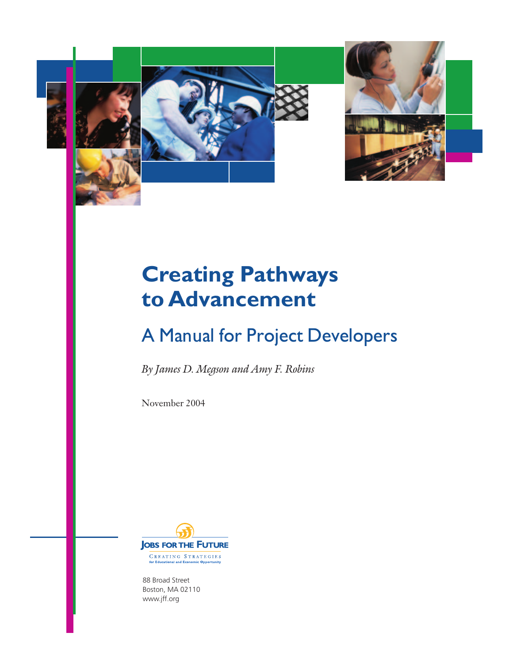

# **Creating Pathways to Advancement**

# A Manual for Project Developers

By James D. Megson and Amy F. Robins

November 2004



88 Broad Street Boston, MA 02110 www.jff.org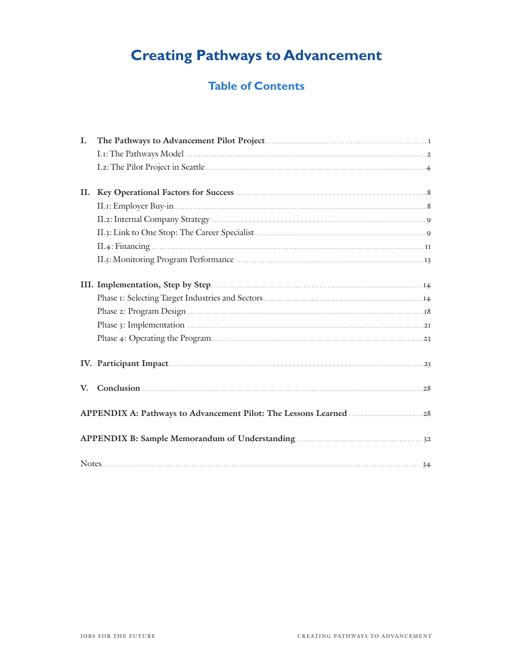## **Creating Pathways to Advancement**

## **Table of Contents**

| L. |               |  |  |  |  |
|----|---------------|--|--|--|--|
|    |               |  |  |  |  |
|    |               |  |  |  |  |
| П. |               |  |  |  |  |
|    |               |  |  |  |  |
|    |               |  |  |  |  |
|    |               |  |  |  |  |
|    |               |  |  |  |  |
|    |               |  |  |  |  |
|    |               |  |  |  |  |
|    |               |  |  |  |  |
|    |               |  |  |  |  |
|    |               |  |  |  |  |
|    |               |  |  |  |  |
|    |               |  |  |  |  |
| V. | Conclusion 28 |  |  |  |  |
|    |               |  |  |  |  |
|    |               |  |  |  |  |
|    |               |  |  |  |  |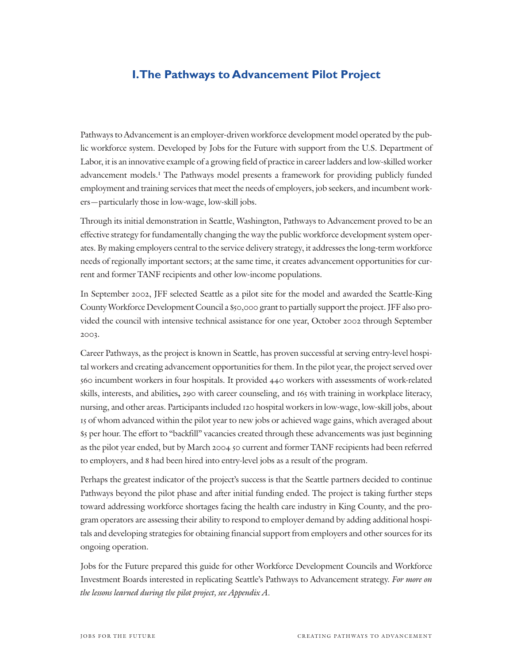## **I.The Pathways to Advancement Pilot Project**

Pathways to Advancement is an employer-driven workforce development model operated by the public workforce system. Developed by Jobs for the Future with support from the U.S. Department of Labor, it is an innovative example of a growing field of practice in career ladders and low-skilled worker advancement models.<sup>1</sup> The Pathways model presents a framework for providing publicly funded employment and training services that meet the needs of employers, job seekers, and incumbent workers—particularly those in low-wage, low-skill jobs.

Through its initial demonstration in Seattle, Washington, Pathways to Advancement proved to be an effective strategy for fundamentally changing the way the public workforce development system operates. By making employers central to the service delivery strategy, it addresses the long-term workforce needs of regionally important sectors; at the same time, it creates advancement opportunities for current and former TANF recipients and other low-income populations.

In September 2002, JFF selected Seattle as a pilot site for the model and awarded the Seattle-King County Workforce Development Council a \$50,000 grant to partially support the project. JFF also provided the council with intensive technical assistance for one year, October 2002 through September 2003.

Career Pathways, as the project is known in Seattle, has proven successful at serving entry-level hospital workers and creating advancement opportunities for them. In the pilot year, the project served over 560 incumbent workers in four hospitals. It provided 440 workers with assessments of work-related skills, interests, and abilities**,** 290 with career counseling, and 165 with training in workplace literacy, nursing, and other areas. Participants included 120 hospital workers in low-wage, low-skill jobs, about 15 of whom advanced within the pilot year to new jobs or achieved wage gains, which averaged about \$5 per hour. The effort to "backfill" vacancies created through these advancements was just beginning as the pilot year ended, but by March 2004 50 current and former TANF recipients had been referred to employers, and 8 had been hired into entry-level jobs as a result of the program.

Perhaps the greatest indicator of the project's success is that the Seattle partners decided to continue Pathways beyond the pilot phase and after initial funding ended. The project is taking further steps toward addressing workforce shortages facing the health care industry in King County, and the program operators are assessing their ability to respond to employer demand by adding additional hospitals and developing strategies for obtaining financial support from employers and other sources for its ongoing operation.

Jobs for the Future prepared this guide for other Workforce Development Councils and Workforce Investment Boards interested in replicating Seattle's Pathways to Advancement strategy. For more on the lessons learned during the pilot project, see Appendix A.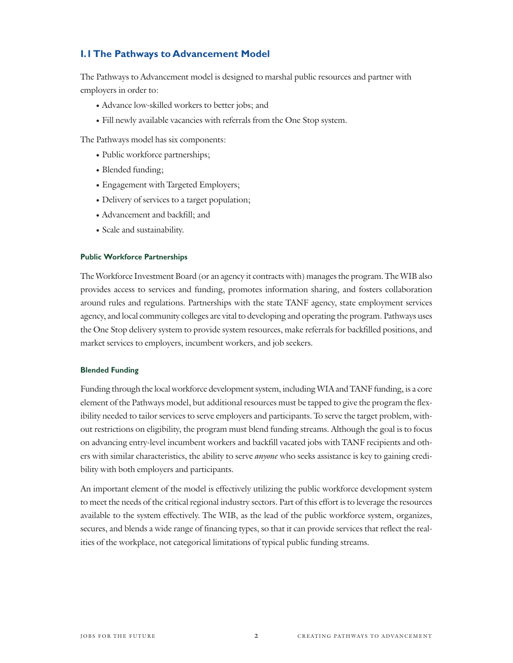## **I.1 The Pathways to Advancement Model**

The Pathways to Advancement model is designed to marshal public resources and partner with employers in order to:

- Advance low-skilled workers to better jobs; and
- Fill newly available vacancies with referrals from the One Stop system.

The Pathways model has six components:

- Public workforce partnerships;
- Blended funding;
- Engagement with Targeted Employers;
- Delivery of services to a target population;
- Advancement and backfill; and
- Scale and sustainability.

#### Public Workforce Partnerships

The Workforce Investment Board (or an agency it contracts with) manages the program. The WIB also provides access to services and funding, promotes information sharing, and fosters collaboration around rules and regulations. Partnerships with the state TANF agency, state employment services agency, and local community colleges are vital to developing and operating the program. Pathways uses the One Stop delivery system to provide system resources, make referrals for backfilled positions, and market services to employers, incumbent workers, and job seekers.

#### Blended Funding

Funding through the local workforce development system, including WIA and TANF funding, is a core element of the Pathways model, but additional resources must be tapped to give the program the flexibility needed to tailor services to serve employers and participants. To serve the target problem, without restrictions on eligibility, the program must blend funding streams. Although the goal is to focus on advancing entry-level incumbent workers and backfill vacated jobs with TANF recipients and others with similar characteristics, the ability to serve *anyone* who seeks assistance is key to gaining credibility with both employers and participants.

An important element of the model is effectively utilizing the public workforce development system to meet the needs of the critical regional industry sectors. Part of this effort is to leverage the resources available to the system effectively. The WIB, as the lead of the public workforce system, organizes, secures, and blends a wide range of financing types, so that it can provide services that reflect the realities of the workplace, not categorical limitations of typical public funding streams.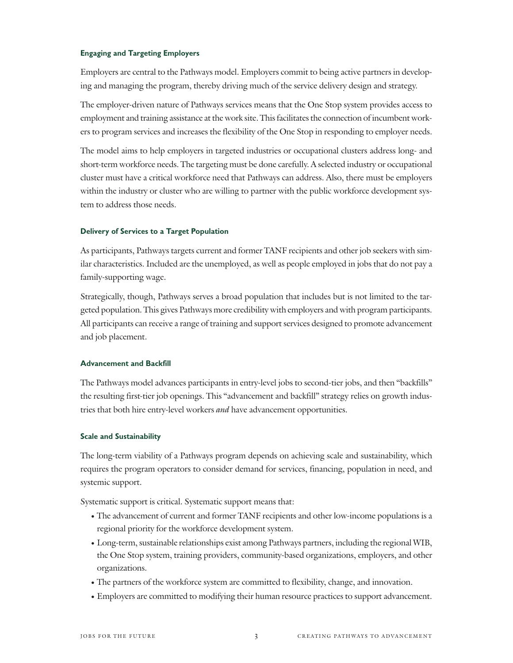#### Engaging and Targeting Employers

Employers are central to the Pathways model. Employers commit to being active partners in developing and managing the program, thereby driving much of the service delivery design and strategy.

The employer-driven nature of Pathways services means that the One Stop system provides access to employment and training assistance at the work site. This facilitates the connection of incumbent workers to program services and increases the flexibility of the One Stop in responding to employer needs.

The model aims to help employers in targeted industries or occupational clusters address long- and short-term workforce needs. The targeting must be done carefully. A selected industry or occupational cluster must have a critical workforce need that Pathways can address. Also, there must be employers within the industry or cluster who are willing to partner with the public workforce development system to address those needs.

#### Delivery of Services to a Target Population

As participants, Pathways targets current and former TANF recipients and other job seekers with similar characteristics. Included are the unemployed, as well as people employed in jobs that do not pay a family-supporting wage.

Strategically, though, Pathways serves a broad population that includes but is not limited to the targeted population. This gives Pathways more credibility with employers and with program participants. All participants can receive a range of training and support services designed to promote advancement and job placement.

#### Advancement and Backfill

The Pathways model advances participants in entry-level jobs to second-tier jobs, and then "backfills" the resulting first-tier job openings. This "advancement and backfill" strategy relies on growth industries that both hire entry-level workers *and* have advancement opportunities.

#### Scale and Sustainability

The long-term viability of a Pathways program depends on achieving scale and sustainability, which requires the program operators to consider demand for services, financing, population in need, and systemic support.

Systematic support is critical. Systematic support means that:

- The advancement of current and former TANF recipients and other low-income populations is a regional priority for the workforce development system.
- Long-term, sustainable relationships exist among Pathways partners, including the regional WIB, the One Stop system, training providers, community-based organizations, employers, and other organizations.
- The partners of the workforce system are committed to flexibility, change, and innovation.
- Employers are committed to modifying their human resource practices to support advancement.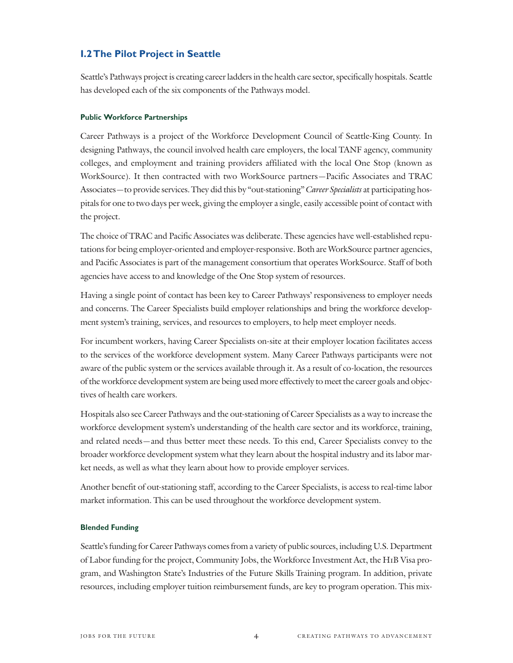#### **I.2 The Pilot Project in Seattle**

Seattle's Pathways project is creating career ladders in the health care sector, specifically hospitals. Seattle has developed each of the six components of the Pathways model.

#### Public Workforce Partnerships

Career Pathways is a project of the Workforce Development Council of Seattle-King County. In designing Pathways, the council involved health care employers, the local TANF agency, community colleges, and employment and training providers affiliated with the local One Stop (known as WorkSource). It then contracted with two WorkSource partners—Pacific Associates and TRAC Associates—to provide services. They did this by "out-stationing" Career Specialists at participating hospitals for one to two days per week, giving the employer a single, easily accessible point of contact with the project.

The choice of TRAC and Pacific Associates was deliberate. These agencies have well-established reputations for being employer-oriented and employer-responsive. Both are WorkSource partner agencies, and Pacific Associates is part of the management consortium that operates WorkSource. Staff of both agencies have access to and knowledge of the One Stop system of resources.

Having a single point of contact has been key to Career Pathways' responsiveness to employer needs and concerns. The Career Specialists build employer relationships and bring the workforce development system's training, services, and resources to employers, to help meet employer needs.

For incumbent workers, having Career Specialists on-site at their employer location facilitates access to the services of the workforce development system. Many Career Pathways participants were not aware of the public system or the services available through it. As a result of co-location, the resources of the workforce development system are being used more effectively to meet the career goals and objectives of health care workers.

Hospitals also see Career Pathways and the out-stationing of Career Specialists as a way to increase the workforce development system's understanding of the health care sector and its workforce, training, and related needs—and thus better meet these needs. To this end, Career Specialists convey to the broader workforce development system what they learn about the hospital industry and its labor market needs, as well as what they learn about how to provide employer services.

Another benefit of out-stationing staff, according to the Career Specialists, is access to real-time labor market information. This can be used throughout the workforce development system.

#### Blended Funding

Seattle's funding for Career Pathways comes from a variety of public sources, including U.S. Department of Labor funding for the project, Community Jobs, the Workforce Investment Act, the H1B Visa program, and Washington State's Industries of the Future Skills Training program. In addition, private resources, including employer tuition reimbursement funds, are key to program operation. This mix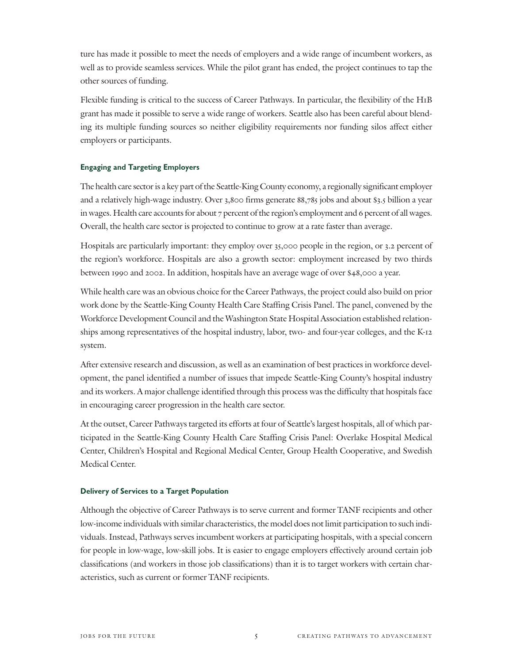ture has made it possible to meet the needs of employers and a wide range of incumbent workers, as well as to provide seamless services. While the pilot grant has ended, the project continues to tap the other sources of funding.

Flexible funding is critical to the success of Career Pathways. In particular, the flexibility of the H1B grant has made it possible to serve a wide range of workers. Seattle also has been careful about blending its multiple funding sources so neither eligibility requirements nor funding silos affect either employers or participants.

#### Engaging and Targeting Employers

The health care sector is a key part of the Seattle-King County economy, a regionally significant employer and a relatively high-wage industry. Over 3,800 firms generate 88,785 jobs and about \$3.5 billion a year in wages. Health care accounts for about 7 percent of the region's employment and 6 percent of all wages. Overall, the health care sector is projected to continue to grow at a rate faster than average.

Hospitals are particularly important: they employ over 35,000 people in the region, or 3.2 percent of the region's workforce. Hospitals are also a growth sector: employment increased by two thirds between 1990 and 2002. In addition, hospitals have an average wage of over \$48,000 a year.

While health care was an obvious choice for the Career Pathways, the project could also build on prior work done by the Seattle-King County Health Care Staffing Crisis Panel. The panel, convened by the Workforce Development Council and the Washington State Hospital Association established relationships among representatives of the hospital industry, labor, two- and four-year colleges, and the K-12 system.

After extensive research and discussion, as well as an examination of best practices in workforce development, the panel identified a number of issues that impede Seattle-King County's hospital industry and its workers. A major challenge identified through this process was the difficulty that hospitals face in encouraging career progression in the health care sector.

At the outset, Career Pathways targeted its efforts at four of Seattle's largest hospitals, all of which participated in the Seattle-King County Health Care Staffing Crisis Panel: Overlake Hospital Medical Center, Children's Hospital and Regional Medical Center, Group Health Cooperative, and Swedish Medical Center.

#### Delivery of Services to a Target Population

Although the objective of Career Pathways is to serve current and former TANF recipients and other low-income individuals with similar characteristics, the model does not limit participation to such individuals. Instead, Pathways serves incumbent workers at participating hospitals, with a special concern for people in low-wage, low-skill jobs. It is easier to engage employers effectively around certain job classifications (and workers in those job classifications) than it is to target workers with certain characteristics, such as current or former TANF recipients.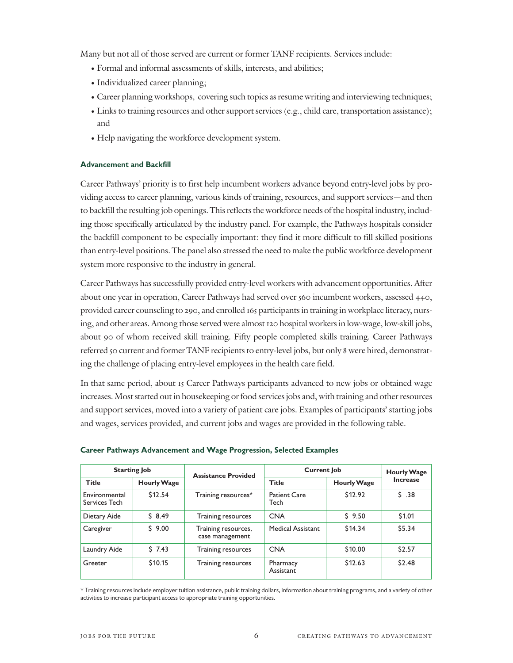Many but not all of those served are current or former TANF recipients. Services include:

- Formal and informal assessments of skills, interests, and abilities;
- Individualized career planning;
- Career planning workshops, covering such topics as resume writing and interviewing techniques;
- Links to training resources and other support services (e.g., child care, transportation assistance); and
- Help navigating the workforce development system.

#### Advancement and Backfill

Career Pathways' priority is to first help incumbent workers advance beyond entry-level jobs by providing access to career planning, various kinds of training, resources, and support services—and then to backfill the resulting job openings. This reflects the workforce needs of the hospital industry, including those specifically articulated by the industry panel. For example, the Pathways hospitals consider the backfill component to be especially important: they find it more difficult to fill skilled positions than entry-level positions. The panel also stressed the need to make the public workforce development system more responsive to the industry in general.

Career Pathways has successfully provided entry-level workers with advancement opportunities. After about one year in operation, Career Pathways had served over 560 incumbent workers, assessed 440, provided career counseling to 290, and enrolled 165 participants in training in workplace literacy, nursing, and other areas. Among those served were almost 120 hospital workers in low-wage, low-skill jobs, about 90 of whom received skill training. Fifty people completed skills training. Career Pathways referred 50 current and former TANF recipients to entry-level jobs, but only 8 were hired, demonstrating the challenge of placing entry-level employees in the health care field.

In that same period, about 15 Career Pathways participants advanced to new jobs or obtained wage increases. Most started out in housekeeping or food services jobs and, with training and other resources and support services, moved into a variety of patient care jobs. Examples of participants' starting jobs and wages, services provided, and current jobs and wages are provided in the following table.

|                                | <b>Starting Job</b> | <b>Assistance Provided</b>             | <b>Current Job</b>          |                    | <b>Hourly Wage</b> |
|--------------------------------|---------------------|----------------------------------------|-----------------------------|--------------------|--------------------|
| <b>Title</b>                   | <b>Hourly Wage</b>  |                                        | <b>Title</b>                | <b>Hourly Wage</b> | <b>Increase</b>    |
| Environmental<br>Services Tech | \$12.54             | Training resources*                    | <b>Patient Care</b><br>Tech | \$12.92            | S.38               |
| Dietary Aide                   | \$8.49              | Training resources                     | <b>CNA</b>                  | \$9.50             | \$1.01             |
| Caregiver                      | \$9.00              | Training resources,<br>case management | Medical Assistant           | \$14.34            | \$5.34             |
| Laundry Aide                   | 57.43               | Training resources                     | <b>CNA</b>                  | \$10.00            | \$2.57             |
| Greeter                        | \$10.15             | Training resources                     | Pharmacy<br>Assistant       | \$12.63            | \$2.48             |

#### Career Pathways Advancement and Wage Progression, Selected Examples

\* Training resources include employer tuition assistance, public training dollars, information about training programs, and a variety of other activities to increase participant access to appropriate training opportunities.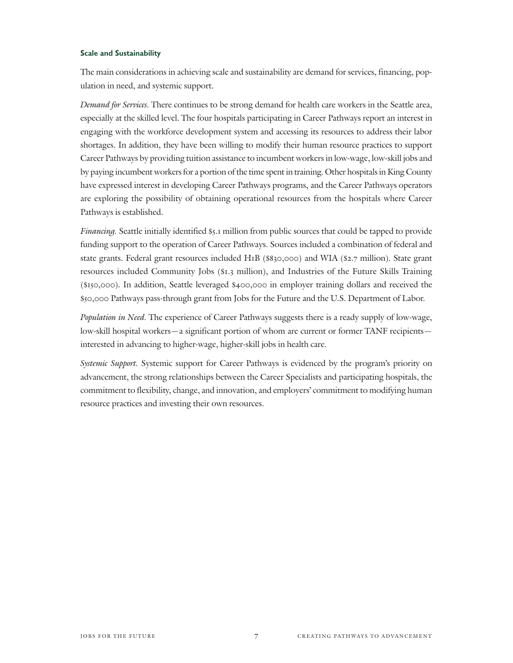#### Scale and Sustainability

The main considerations in achieving scale and sustainability are demand for services, financing, population in need, and systemic support.

Demand for Services. There continues to be strong demand for health care workers in the Seattle area, especially at the skilled level. The four hospitals participating in Career Pathways report an interest in engaging with the workforce development system and accessing its resources to address their labor shortages. In addition, they have been willing to modify their human resource practices to support Career Pathways by providing tuition assistance to incumbent workers in low-wage, low-skill jobs and by paying incumbent workers for a portion of the time spent in training. Other hospitals in King County have expressed interest in developing Career Pathways programs, and the Career Pathways operators are exploring the possibility of obtaining operational resources from the hospitals where Career Pathways is established.

Financing. Seattle initially identified \$5.1 million from public sources that could be tapped to provide funding support to the operation of Career Pathways. Sources included a combination of federal and state grants. Federal grant resources included H1B (\$830,000) and WIA (\$2.7 million). State grant resources included Community Jobs (\$1.3 million), and Industries of the Future Skills Training (\$150,000). In addition, Seattle leveraged \$400,000 in employer training dollars and received the \$50,000 Pathways pass-through grant from Jobs for the Future and the U.S. Department of Labor.

Population in Need. The experience of Career Pathways suggests there is a ready supply of low-wage, low-skill hospital workers—a significant portion of whom are current or former TANF recipients interested in advancing to higher-wage, higher-skill jobs in health care.

Systemic Support. Systemic support for Career Pathways is evidenced by the program's priority on advancement, the strong relationships between the Career Specialists and participating hospitals, the commitment to flexibility, change, and innovation, and employers' commitment to modifying human resource practices and investing their own resources.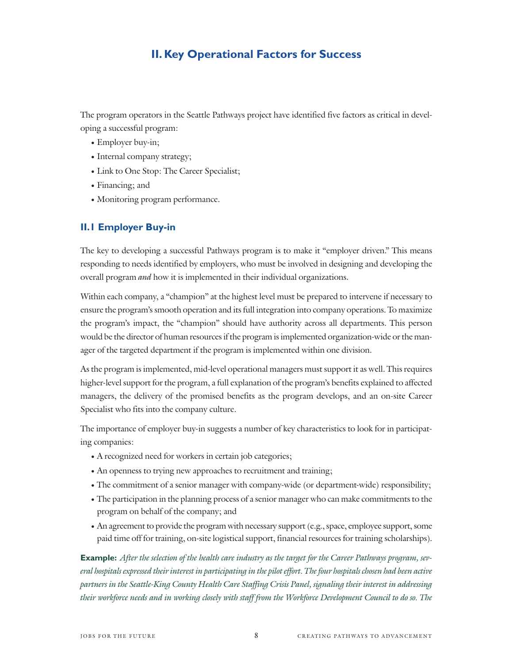## **II. Key Operational Factors for Success**

The program operators in the Seattle Pathways project have identified five factors as critical in developing a successful program:

- Employer buy-in;
- Internal company strategy;
- Link to One Stop: The Career Specialist;
- Financing; and
- Monitoring program performance.

#### **II.1 Employer Buy-in**

The key to developing a successful Pathways program is to make it "employer driven." This means responding to needs identified by employers, who must be involved in designing and developing the overall program and how it is implemented in their individual organizations.

Within each company, a "champion" at the highest level must be prepared to intervene if necessary to ensure the program's smooth operation and its full integration into company operations. To maximize the program's impact, the "champion" should have authority across all departments. This person would be the director of human resources if the program is implemented organization-wide or the manager of the targeted department if the program is implemented within one division.

As the program is implemented, mid-level operational managers must support it as well. This requires higher-level support for the program, a full explanation of the program's benefits explained to affected managers, the delivery of the promised benefits as the program develops, and an on-site Career Specialist who fits into the company culture.

The importance of employer buy-in suggests a number of key characteristics to look for in participating companies:

- A recognized need for workers in certain job categories;
- An openness to trying new approaches to recruitment and training;
- The commitment of a senior manager with company-wide (or department-wide) responsibility;
- The participation in the planning process of a senior manager who can make commitments to the program on behalf of the company; and
- An agreement to provide the program with necessary support (e.g., space, employee support, some paid time off for training, on-site logistical support, financial resources for training scholarships).

**Example:** After the selection of the health care industry as the target for the Career Pathways program, several hospitals expressed their interest in participating in the pilot effort. The four hospitals chosen had been active partners in the Seattle-King County Health Care Staffing Crisis Panel, signaling their interest in addressing their workforce needs and in working closely with staff from the Workforce Development Council to do so. The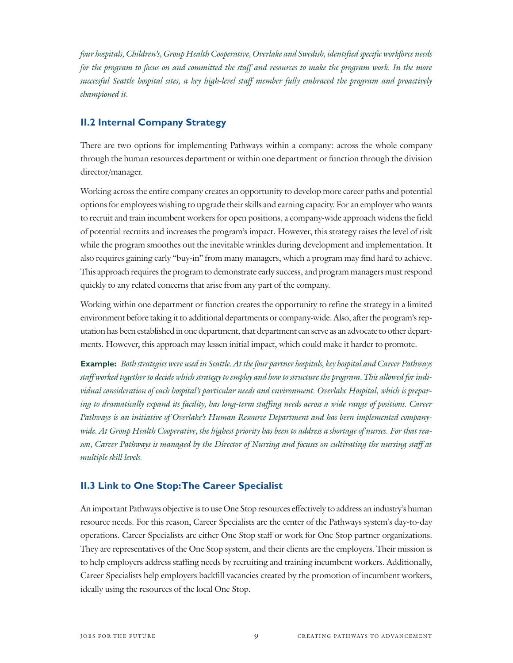four hospitals, Children's, Group Health Cooperative, Overlake and Swedish, identified specific workforce needs for the program to focus on and committed the staff and resources to make the program work. In the more successful Seattle hospital sites, a key high-level staff member fully embraced the program and proactively championed it.

#### **II.2 Internal Company Strategy**

There are two options for implementing Pathways within a company: across the whole company through the human resources department or within one department or function through the division director/manager.

Working across the entire company creates an opportunity to develop more career paths and potential options for employees wishing to upgrade their skills and earning capacity. For an employer who wants to recruit and train incumbent workers for open positions, a company-wide approach widens the field of potential recruits and increases the program's impact. However, this strategy raises the level of risk while the program smoothes out the inevitable wrinkles during development and implementation. It also requires gaining early "buy-in" from many managers, which a program may find hard to achieve. This approach requires the program to demonstrate early success, and program managers must respond quickly to any related concerns that arise from any part of the company.

Working within one department or function creates the opportunity to refine the strategy in a limited environment before taking it to additional departments or company-wide. Also, after the program's reputation has been established in one department, that department can serve as an advocate to other departments. However, this approach may lessen initial impact, which could make it harder to promote.

**Example:** Both strategies were used in Seattle. At the four partner hospitals, key hospital and Career Pathways staff worked together to decide which strategy to employ and how to structure the program. This allowed for individual consideration of each hospital's particular needs and environment. Overlake Hospital, which is preparing to dramatically expand its facility, has long-term staffing needs across a wide range of positions. Career Pathways is an initiative of Overlake's Human Resource Department and has been implemented companywide. At Group Health Cooperative, the highest priority has been to address a shortage of nurses. For that reason, Career Pathways is managed by the Director of Nursing and focuses on cultivating the nursing staff at multiple skill levels.

#### **II.3 Link to One Stop:The Career Specialist**

An important Pathways objective is to use One Stop resources effectively to address an industry's human resource needs. For this reason, Career Specialists are the center of the Pathways system's day-to-day operations. Career Specialists are either One Stop staff or work for One Stop partner organizations. They are representatives of the One Stop system, and their clients are the employers. Their mission is to help employers address staffing needs by recruiting and training incumbent workers. Additionally, Career Specialists help employers backfill vacancies created by the promotion of incumbent workers, ideally using the resources of the local One Stop.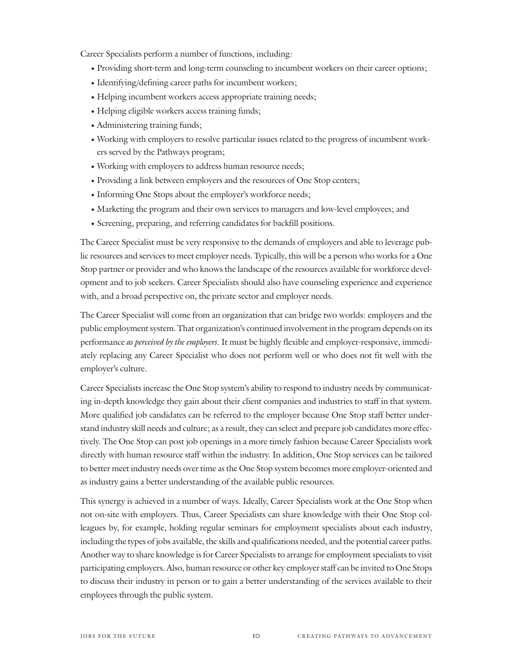Career Specialists perform a number of functions, including:

- Providing short-term and long-term counseling to incumbent workers on their career options;
- Identifying/defining career paths for incumbent workers;
- Helping incumbent workers access appropriate training needs;
- Helping eligible workers access training funds;
- Administering training funds;
- Working with employers to resolve particular issues related to the progress of incumbent workers served by the Pathways program;
- Working with employers to address human resource needs;
- Providing a link between employers and the resources of One Stop centers;
- Informing One Stops about the employer's workforce needs;
- Marketing the program and their own services to managers and low-level employees; and
- Screening, preparing, and referring candidates for backfill positions.

The Career Specialist must be very responsive to the demands of employers and able to leverage public resources and services to meet employer needs. Typically, this will be a person who works for a One Stop partner or provider and who knows the landscape of the resources available for workforce development and to job seekers. Career Specialists should also have counseling experience and experience with, and a broad perspective on, the private sector and employer needs.

The Career Specialist will come from an organization that can bridge two worlds: employers and the public employment system. That organization's continued involvement in the program depends on its performance as perceived by the employers. It must be highly flexible and employer-responsive, immediately replacing any Career Specialist who does not perform well or who does not fit well with the employer's culture.

Career Specialists increase the One Stop system's ability to respond to industry needs by communicating in-depth knowledge they gain about their client companies and industries to staff in that system. More qualified job candidates can be referred to the employer because One Stop staff better understand industry skill needs and culture; as a result, they can select and prepare job candidates more effectively. The One Stop can post job openings in a more timely fashion because Career Specialists work directly with human resource staff within the industry. In addition, One Stop services can be tailored to better meet industry needs over time as the One Stop system becomes more employer-oriented and as industry gains a better understanding of the available public resources.

This synergy is achieved in a number of ways. Ideally, Career Specialists work at the One Stop when not on-site with employers. Thus, Career Specialists can share knowledge with their One Stop colleagues by, for example, holding regular seminars for employment specialists about each industry, including the types of jobs available, the skills and qualifications needed, and the potential career paths. Another way to share knowledge is for Career Specialists to arrange for employment specialists to visit participating employers. Also, human resource or other key employer staff can be invited to One Stops to discuss their industry in person or to gain a better understanding of the services available to their employees through the public system.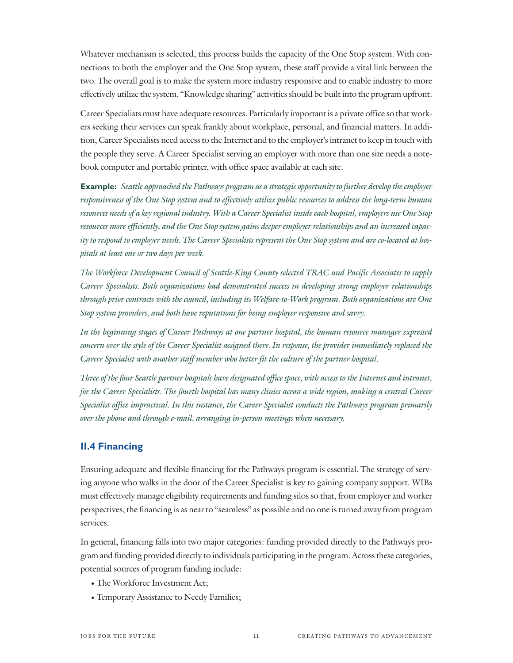Whatever mechanism is selected, this process builds the capacity of the One Stop system. With connections to both the employer and the One Stop system, these staff provide a vital link between the two. The overall goal is to make the system more industry responsive and to enable industry to more effectively utilize the system. "Knowledge sharing" activities should be built into the program upfront.

Career Specialists must have adequate resources. Particularly important is a private office so that workers seeking their services can speak frankly about workplace, personal, and financial matters. In addition, Career Specialists need access to the Internet and to the employer's intranet to keep in touch with the people they serve. A Career Specialist serving an employer with more than one site needs a notebook computer and portable printer, with office space available at each site.

**Example:** Seattle approached the Pathways program as a strategic opportunity to further develop the employer responsiveness of the One Stop system and to effectively utilize public resources to address the long-term human resources needs of a key regional industry. With a Career Specialist inside each hospital, employers use One Stop resources more efficiently, and the One Stop system gains deeper employer relationships and an increased capacity to respond to employer needs. The Career Specialists represent the One Stop system and are co-located at hospitals at least one or two days per week.

The Workforce Development Council of Seattle-King County selected TRAC and Pacific Associates to supply Career Specialists. Both organizations had demonstrated success in developing strong employer relationships through prior contracts with the council, including its Welfare-to-Work program. Both organizations are One Stop system providers, and both have reputations for being employer responsive and savvy.

In the beginning stages of Career Pathways at one partner hospital, the human resource manager expressed concern over the style of the Career Specialist assigned there. In response, the provider immediately replaced the Career Specialist with another staff member who better fit the culture of the partner hospital.

Three of the four Seattle partner hospitals have designated office space, with access to the Internet and intranet, for the Career Specialists. The fourth hospital has many clinics across a wide region, making a central Career Specialist office impractical. In this instance, the Career Specialist conducts the Pathways program primarily over the phone and through e-mail, arranging in-person meetings when necessary.

#### **II.4 Financing**

Ensuring adequate and flexible financing for the Pathways program is essential. The strategy of serving anyone who walks in the door of the Career Specialist is key to gaining company support. WIBs must effectively manage eligibility requirements and funding silos so that, from employer and worker perspectives, the financing is as near to "seamless" as possible and no one is turned away from program services.

In general, financing falls into two major categories: funding provided directly to the Pathways program and funding provided directly to individuals participating in the program. Across these categories, potential sources of program funding include:

- The Workforce Investment Act;
- Temporary Assistance to Needy Families;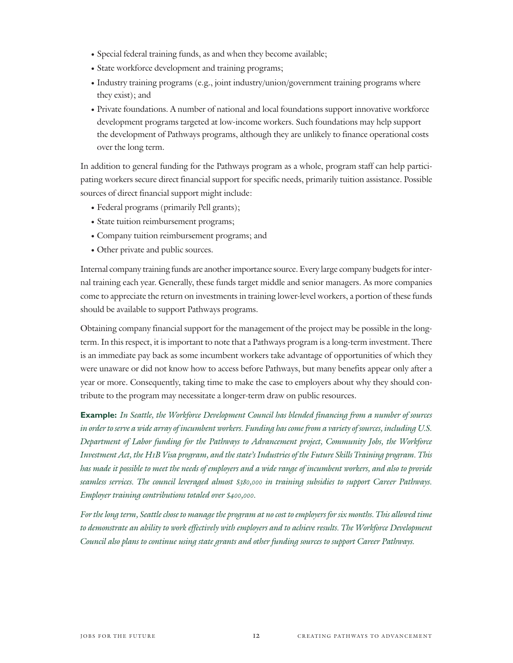- Special federal training funds, as and when they become available;
- State workforce development and training programs;
- Industry training programs (e.g., joint industry/union/government training programs where they exist); and
- Private foundations. A number of national and local foundations support innovative workforce development programs targeted at low-income workers. Such foundations may help support the development of Pathways programs, although they are unlikely to finance operational costs over the long term.

In addition to general funding for the Pathways program as a whole, program staff can help participating workers secure direct financial support for specific needs, primarily tuition assistance. Possible sources of direct financial support might include:

- Federal programs (primarily Pell grants);
- State tuition reimbursement programs;
- Company tuition reimbursement programs; and
- Other private and public sources.

Internal company training funds are another importance source. Every large company budgets for internal training each year. Generally, these funds target middle and senior managers. As more companies come to appreciate the return on investments in training lower-level workers, a portion of these funds should be available to support Pathways programs.

Obtaining company financial support for the management of the project may be possible in the longterm. In this respect, it is important to note that a Pathways program is a long-term investment. There is an immediate pay back as some incumbent workers take advantage of opportunities of which they were unaware or did not know how to access before Pathways, but many benefits appear only after a year or more. Consequently, taking time to make the case to employers about why they should contribute to the program may necessitate a longer-term draw on public resources.

**Example:** In Seattle, the Workforce Development Council has blended financing from a number of sources in order to serve a wide array of incumbent workers. Funding has come from a variety of sources, including U.S. Department of Labor funding for the Pathways to Advancement project, Community Jobs, the Workforce Investment Act, the H1B Visa program, and the state's Industries of the Future Skills Training program. This has made it possible to meet the needs of employers and a wide range of incumbent workers, and also to provide seamless services. The council leveraged almost \$380,000 in training subsidies to support Career Pathways. Employer training contributions totaled over \$400,000.

For the long term, Seattle chose to manage the program at no cost to employers for six months. This allowed time to demonstrate an ability to work effectively with employers and to achieve results. The Workforce Development Council also plans to continue using state grants and other funding sources to support Career Pathways.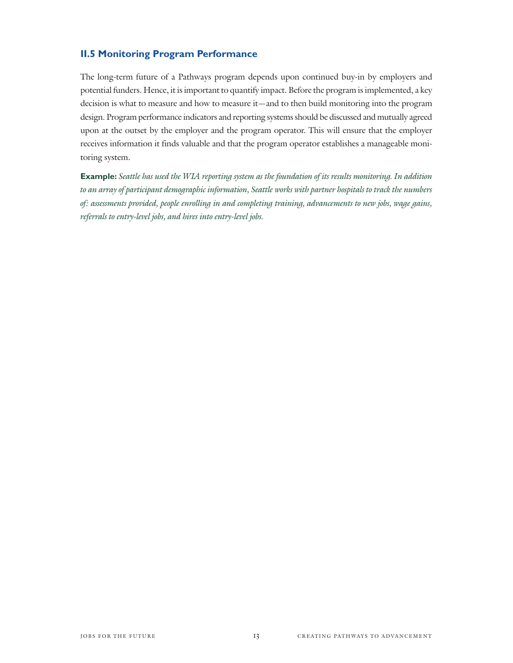#### **II.5 Monitoring Program Performance**

The long-term future of a Pathways program depends upon continued buy-in by employers and potential funders. Hence, it is important to quantify impact. Before the program is implemented, a key decision is what to measure and how to measure it—and to then build monitoring into the program design. Program performance indicators and reporting systems should be discussed and mutually agreed upon at the outset by the employer and the program operator. This will ensure that the employer receives information it finds valuable and that the program operator establishes a manageable monitoring system.

**Example:** Seattle has used the WIA reporting system as the foundation of its results monitoring. In addition to an array of participant demographic information, Seattle works with partner hospitals to track the numbers of: assessments provided, people enrolling in and completing training, advancements to new jobs, wage gains, referrals to entry-level jobs, and hires into entry-level jobs.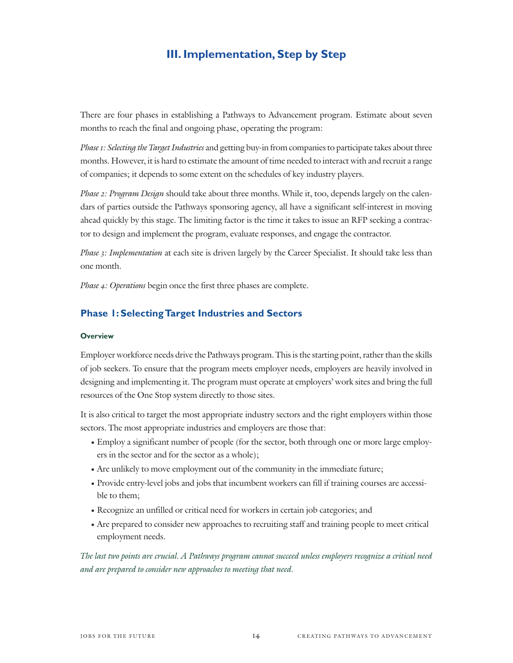## **III. Implementation, Step by Step**

There are four phases in establishing a Pathways to Advancement program. Estimate about seven months to reach the final and ongoing phase, operating the program:

Phase 1: Selecting the Target Industries and getting buy-in from companies to participate takes about three months. However, it is hard to estimate the amount of time needed to interact with and recruit a range of companies; it depends to some extent on the schedules of key industry players.

Phase 2: Program Design should take about three months. While it, too, depends largely on the calendars of parties outside the Pathways sponsoring agency, all have a significant self-interest in moving ahead quickly by this stage. The limiting factor is the time it takes to issue an RFP seeking a contractor to design and implement the program, evaluate responses, and engage the contractor.

Phase 3: Implementation at each site is driven largely by the Career Specialist. It should take less than one month.

Phase 4: Operations begin once the first three phases are complete.

#### **Phase 1: Selecting Target Industries and Sectors**

#### **Overview**

Employer workforce needs drive the Pathways program. This is the starting point, rather than the skills of job seekers. To ensure that the program meets employer needs, employers are heavily involved in designing and implementing it. The program must operate at employers' work sites and bring the full resources of the One Stop system directly to those sites.

It is also critical to target the most appropriate industry sectors and the right employers within those sectors. The most appropriate industries and employers are those that:

- Employ a significant number of people (for the sector, both through one or more large employers in the sector and for the sector as a whole);
- Are unlikely to move employment out of the community in the immediate future;
- Provide entry-level jobs and jobs that incumbent workers can fill if training courses are accessible to them;
- Recognize an unfilled or critical need for workers in certain job categories; and
- Are prepared to consider new approaches to recruiting staff and training people to meet critical employment needs.

The last two points are crucial. A Pathways program cannot succeed unless employers recognize a critical need and are prepared to consider new approaches to meeting that need.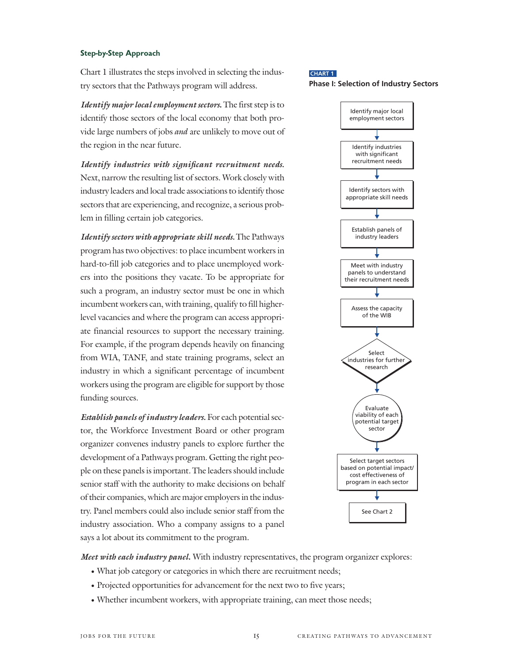#### Step-by-Step Approach

Chart 1 illustrates the steps involved in selecting the industry sectors that the Pathways program will address.

*Identify major local employment sectors***.** The first step is to identify those sectors of the local economy that both provide large numbers of jobs *and* are unlikely to move out of the region in the near future.

*Identify industries with significant recruitment needs.* Next, narrow the resulting list of sectors. Work closely with industry leaders and local trade associations to identify those sectors that are experiencing, and recognize, a serious problem in filling certain job categories.

*Identify sectors with appropriate skill needs.* The Pathways program has two objectives: to place incumbent workers in hard-to-fill job categories and to place unemployed workers into the positions they vacate. To be appropriate for such a program, an industry sector must be one in which incumbent workers can, with training, qualify to fill higherlevel vacancies and where the program can access appropriate financial resources to support the necessary training. For example, if the program depends heavily on financing from WIA, TANF, and state training programs, select an industry in which a significant percentage of incumbent workers using the program are eligible for support by those funding sources.

*Establish panels of industry leaders.* For each potential sector, the Workforce Investment Board or other program organizer convenes industry panels to explore further the development of a Pathways program. Getting the right people on these panels is important. The leaders should include senior staff with the authority to make decisions on behalf of their companies, which are major employers in the industry. Panel members could also include senior staff from the industry association. Who a company assigns to a panel says a lot about its commitment to the program.

#### **CHART 1**

#### **Phase I: Selection of Industry Sectors**



*Meet with each industry panel***.** With industry representatives, the program organizer explores:

- What job category or categories in which there are recruitment needs;
- Projected opportunities for advancement for the next two to five years;
- Whether incumbent workers, with appropriate training, can meet those needs;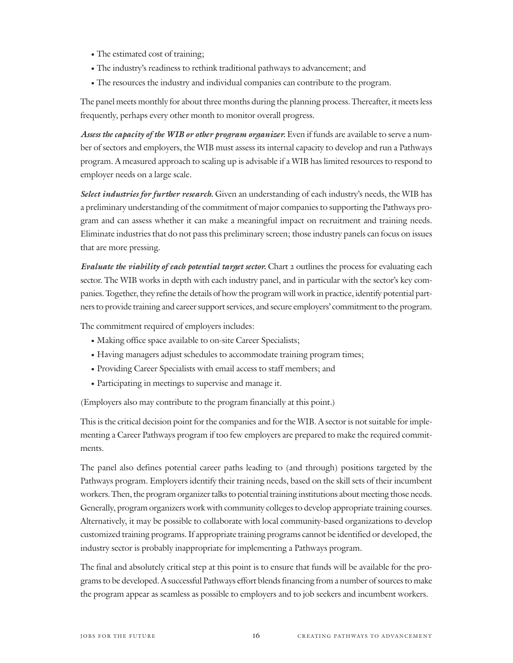- The estimated cost of training;
- The industry's readiness to rethink traditional pathways to advancement; and
- The resources the industry and individual companies can contribute to the program.

The panel meets monthly for about three months during the planning process. Thereafter, it meets less frequently, perhaps every other month to monitor overall progress.

*Assess the capacity of the WIB or other program organizer.* Even if funds are available to serve a number of sectors and employers, the WIB must assess its internal capacity to develop and run a Pathways program. A measured approach to scaling up is advisable if a WIB has limited resources to respond to employer needs on a large scale.

*Select industries for further research.* Given an understanding of each industry's needs, the WIB has a preliminary understanding of the commitment of major companies to supporting the Pathways program and can assess whether it can make a meaningful impact on recruitment and training needs. Eliminate industries that do not pass this preliminary screen; those industry panels can focus on issues that are more pressing.

*Evaluate the viability of each potential target sector.* Chart 2 outlines the process for evaluating each sector. The WIB works in depth with each industry panel, and in particular with the sector's key companies. Together, they refine the details of how the program will work in practice, identify potential partners to provide training and career support services, and secure employers' commitment to the program.

The commitment required of employers includes:

- Making office space available to on-site Career Specialists;
- Having managers adjust schedules to accommodate training program times;
- Providing Career Specialists with email access to staff members; and
- Participating in meetings to supervise and manage it.

(Employers also may contribute to the program financially at this point.)

This is the critical decision point for the companies and for the WIB. A sector is not suitable for implementing a Career Pathways program if too few employers are prepared to make the required commitments.

The panel also defines potential career paths leading to (and through) positions targeted by the Pathways program. Employers identify their training needs, based on the skill sets of their incumbent workers. Then, the program organizer talks to potential training institutions about meeting those needs. Generally, program organizers work with community colleges to develop appropriate training courses. Alternatively, it may be possible to collaborate with local community-based organizations to develop customized training programs. If appropriate training programs cannot be identified or developed, the industry sector is probably inappropriate for implementing a Pathways program.

The final and absolutely critical step at this point is to ensure that funds will be available for the programs to be developed. A successful Pathways effort blends financing from a number of sources to make the program appear as seamless as possible to employers and to job seekers and incumbent workers.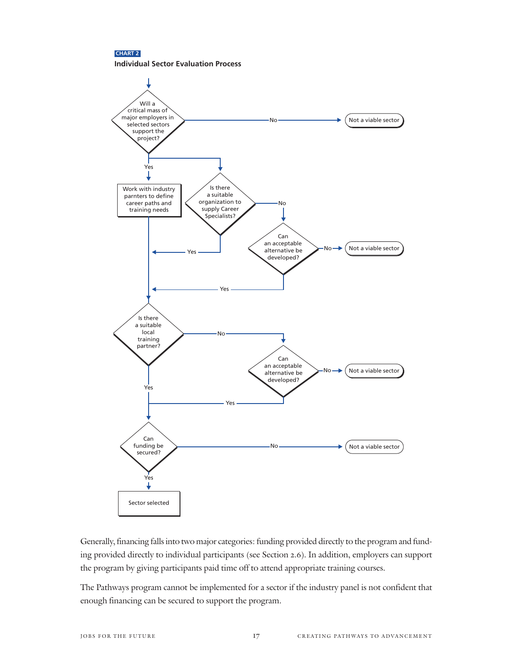



Generally, financing falls into two major categories: funding provided directly to the program and funding provided directly to individual participants (see Section 2.6). In addition, employers can support the program by giving participants paid time off to attend appropriate training courses.

The Pathways program cannot be implemented for a sector if the industry panel is not confident that enough financing can be secured to support the program.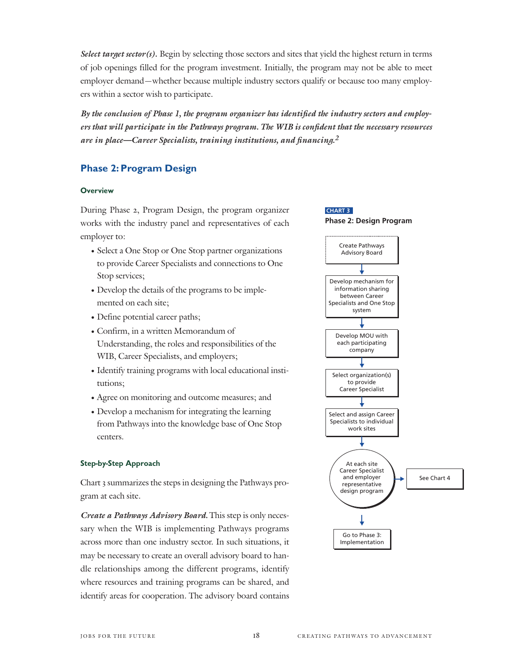*Select target sector(s).* Begin by selecting those sectors and sites that yield the highest return in terms of job openings filled for the program investment. Initially, the program may not be able to meet employer demand—whether because multiple industry sectors qualify or because too many employers within a sector wish to participate.

*By the conclusion of Phase 1, the program organizer has identified the industry sectors and employers that will participate in the Pathways program. The WIB is confident that the necessary resources are in place—Career Specialists, training institutions, and financing.2*

### **Phase 2: Program Design**

#### **Overview**

During Phase 2, Program Design, the program organizer works with the industry panel and representatives of each employer to:

- Select a One Stop or One Stop partner organizations to provide Career Specialists and connections to One Stop services;
- Develop the details of the programs to be implemented on each site;
- Define potential career paths;
- Confirm, in a written Memorandum of Understanding, the roles and responsibilities of the WIB, Career Specialists, and employers;
- Identify training programs with local educational institutions;
- Agree on monitoring and outcome measures; and
- Develop a mechanism for integrating the learning from Pathways into the knowledge base of One Stop centers.

#### Step-by-Step Approach

Chart 3 summarizes the steps in designing the Pathways program at each site.

*Create a Pathways Advisory Board.* This step is only necessary when the WIB is implementing Pathways programs across more than one industry sector. In such situations, it may be necessary to create an overall advisory board to handle relationships among the different programs, identify where resources and training programs can be shared, and identify areas for cooperation. The advisory board contains

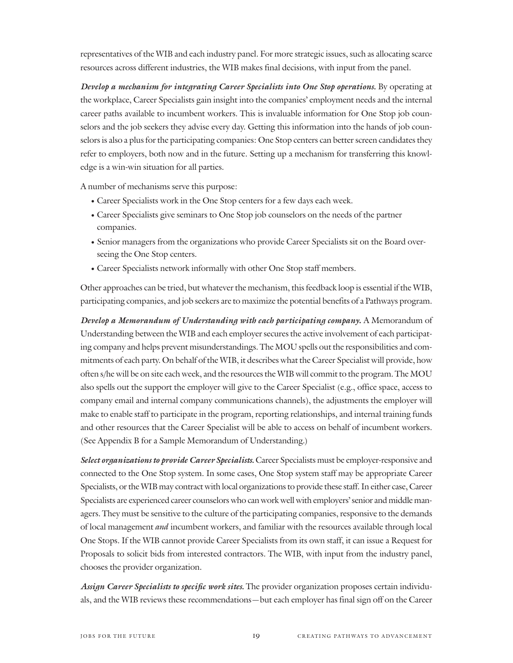representatives of the WIB and each industry panel. For more strategic issues, such as allocating scarce resources across different industries, the WIB makes final decisions, with input from the panel.

*Develop a mechanism for integrating Career Specialists into One Stop operations.* By operating at the workplace, Career Specialists gain insight into the companies' employment needs and the internal career paths available to incumbent workers. This is invaluable information for One Stop job counselors and the job seekers they advise every day. Getting this information into the hands of job counselors is also a plus for the participating companies: One Stop centers can better screen candidates they refer to employers, both now and in the future. Setting up a mechanism for transferring this knowledge is a win-win situation for all parties.

A number of mechanisms serve this purpose:

- Career Specialists work in the One Stop centers for a few days each week.
- Career Specialists give seminars to One Stop job counselors on the needs of the partner companies.
- Senior managers from the organizations who provide Career Specialists sit on the Board overseeing the One Stop centers.
- Career Specialists network informally with other One Stop staff members.

Other approaches can be tried, but whatever the mechanism, this feedback loop is essential if the WIB, participating companies, and job seekers are to maximize the potential benefits of a Pathways program.

*Develop a Memorandum of Understanding with each participating company***.** A Memorandum of Understanding between the WIB and each employer secures the active involvement of each participating company and helps prevent misunderstandings. The MOU spells out the responsibilities and commitments of each party. On behalf of the WIB, it describes what the Career Specialist will provide, how often s/he will be on site each week, and the resources the WIB will commit to the program. The MOU also spells out the support the employer will give to the Career Specialist (e.g., office space, access to company email and internal company communications channels), the adjustments the employer will make to enable staff to participate in the program, reporting relationships, and internal training funds and other resources that the Career Specialist will be able to access on behalf of incumbent workers. (See Appendix B for a Sample Memorandum of Understanding.)

*Select organizations to provide Career Specialists.* Career Specialists must be employer-responsive and connected to the One Stop system. In some cases, One Stop system staff may be appropriate Career Specialists, or the WIB may contract with local organizations to provide these staff. In either case, Career Specialists are experienced career counselors who can work well with employers' senior and middle managers. They must be sensitive to the culture of the participating companies, responsive to the demands of local management and incumbent workers, and familiar with the resources available through local One Stops. If the WIB cannot provide Career Specialists from its own staff, it can issue a Request for Proposals to solicit bids from interested contractors. The WIB, with input from the industry panel, chooses the provider organization.

*Assign Career Specialists to specific work sites.* The provider organization proposes certain individuals, and the WIB reviews these recommendations—but each employer has final sign off on the Career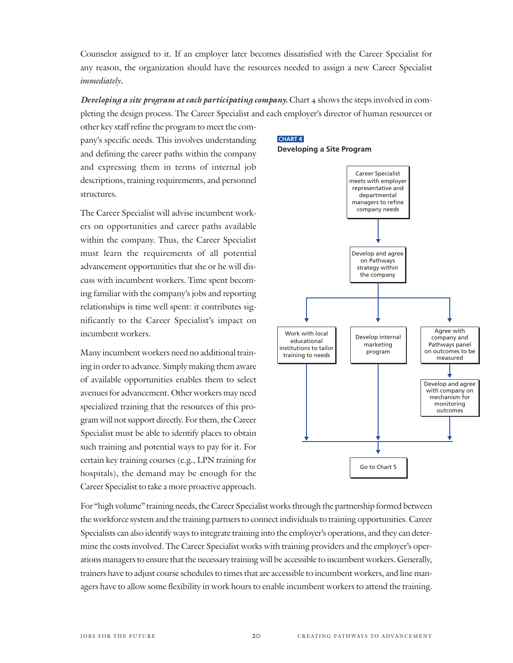Counselor assigned to it. If an employer later becomes dissatisfied with the Career Specialist for any reason, the organization should have the resources needed to assign a new Career Specialist immediately*.* 

*Developing a site program at each participating company.* Chart 4 shows the steps involved in completing the design process. The Career Specialist and each employer's director of human resources or

other key staff refine the program to meet the company's specific needs. This involves understanding and defining the career paths within the company and expressing them in terms of internal job descriptions, training requirements, and personnel structures.

The Career Specialist will advise incumbent workers on opportunities and career paths available within the company. Thus, the Career Specialist must learn the requirements of all potential advancement opportunities that she or he will discuss with incumbent workers. Time spent becoming familiar with the company's jobs and reporting relationships is time well spent: it contributes significantly to the Career Specialist's impact on incumbent workers.

Many incumbent workers need no additional training in order to advance. Simply making them aware of available opportunities enables them to select avenues for advancement. Other workers may need specialized training that the resources of this program will not support directly. For them, the Career Specialist must be able to identify places to obtain such training and potential ways to pay for it. For certain key training courses (e.g., LPN training for hospitals), the demand may be enough for the Career Specialist to take a more proactive approach.





For "high volume" training needs, the Career Specialist works through the partnership formed between the workforce system and the training partners to connect individuals to training opportunities. Career Specialists can also identify ways to integrate training into the employer's operations, and they can determine the costs involved. The Career Specialist works with training providers and the employer's operations managers to ensure that the necessary training will be accessible to incumbent workers. Generally, trainers have to adjust course schedules to times that are accessible to incumbent workers, and line managers have to allow some flexibility in work hours to enable incumbent workers to attend the training.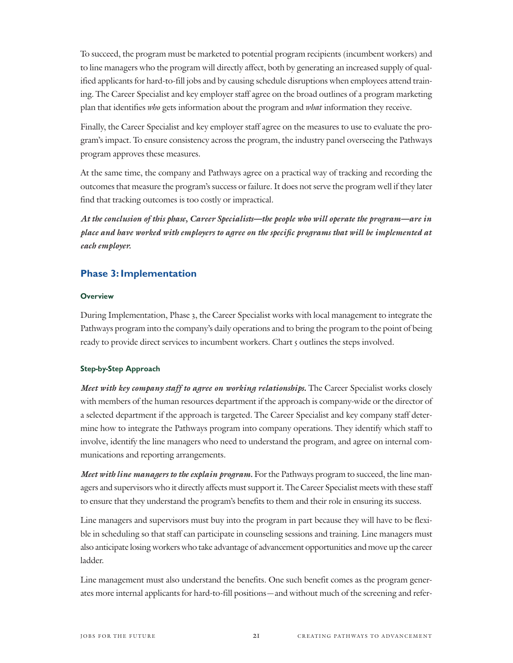To succeed, the program must be marketed to potential program recipients (incumbent workers) and to line managers who the program will directly affect, both by generating an increased supply of qualified applicants for hard-to-fill jobs and by causing schedule disruptions when employees attend training. The Career Specialist and key employer staff agree on the broad outlines of a program marketing plan that identifies who gets information about the program and what information they receive.

Finally, the Career Specialist and key employer staff agree on the measures to use to evaluate the program's impact. To ensure consistency across the program, the industry panel overseeing the Pathways program approves these measures.

At the same time, the company and Pathways agree on a practical way of tracking and recording the outcomes that measure the program's success or failure. It does not serve the program well if they later find that tracking outcomes is too costly or impractical.

*At the conclusion of this phase, Career Specialists—the people who will operate the program—are in place and have worked with employers to agree on the specific programs that will be implemented at each employer.*

#### **Phase 3: Implementation**

#### **Overview**

During Implementation, Phase 3, the Career Specialist works with local management to integrate the Pathways program into the company's daily operations and to bring the program to the point of being ready to provide direct services to incumbent workers. Chart 5 outlines the steps involved.

#### Step-by-Step Approach

*Meet with key company staff to agree on working relationships***.** The Career Specialist works closely with members of the human resources department if the approach is company-wide or the director of a selected department if the approach is targeted. The Career Specialist and key company staff determine how to integrate the Pathways program into company operations. They identify which staff to involve, identify the line managers who need to understand the program, and agree on internal communications and reporting arrangements.

*Meet with line managers to the explain program.* For the Pathways program to succeed, the line managers and supervisors who it directly affects must support it. The Career Specialist meets with these staff to ensure that they understand the program's benefits to them and their role in ensuring its success.

Line managers and supervisors must buy into the program in part because they will have to be flexible in scheduling so that staff can participate in counseling sessions and training. Line managers must also anticipate losing workers who take advantage of advancement opportunities and move up the career ladder.

Line management must also understand the benefits. One such benefit comes as the program generates more internal applicants for hard-to-fill positions—and without much of the screening and refer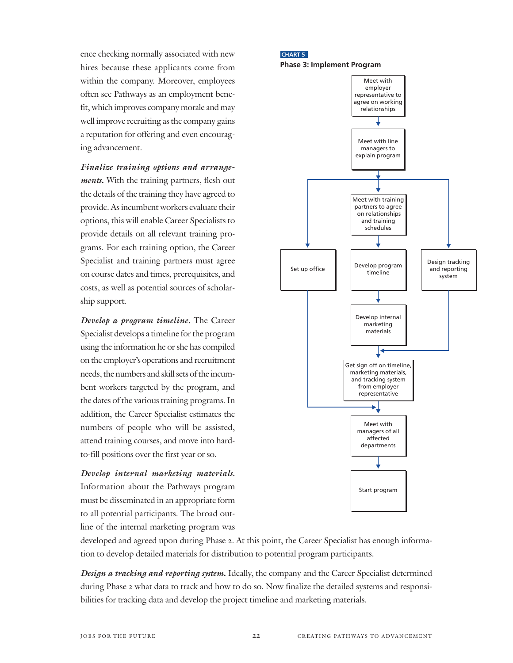ence checking normally associated with new hires because these applicants come from within the company. Moreover, employees often see Pathways as an employment benefit, which improves company morale and may well improve recruiting as the company gains a reputation for offering and even encouraging advancement.

*Finalize training options and arrangements***.** With the training partners, flesh out the details of the training they have agreed to provide. As incumbent workers evaluate their options, this will enable Career Specialists to provide details on all relevant training programs. For each training option, the Career Specialist and training partners must agree on course dates and times, prerequisites, and costs, as well as potential sources of scholarship support.

*Develop a program timeline***.** The Career Specialist develops a timeline for the program using the information he or she has compiled on the employer's operations and recruitment needs, the numbers and skill sets of the incumbent workers targeted by the program, and the dates of the various training programs. In addition, the Career Specialist estimates the numbers of people who will be assisted, attend training courses, and move into hardto-fill positions over the first year or so.

*Develop internal marketing materials.* Information about the Pathways program must be disseminated in an appropriate form to all potential participants. The broad outline of the internal marketing program was

#### **CHART 5 Phase 3: Implement Program**



developed and agreed upon during Phase 2. At this point, the Career Specialist has enough information to develop detailed materials for distribution to potential program participants.

*Design a tracking and reporting system***.** Ideally, the company and the Career Specialist determined during Phase 2 what data to track and how to do so. Now finalize the detailed systems and responsibilities for tracking data and develop the project timeline and marketing materials.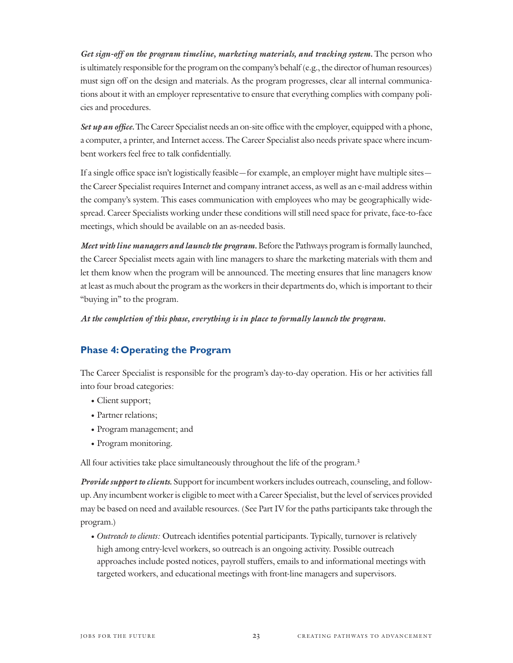*Get sign-off on the program timeline, marketing materials, and tracking system.* The person who is ultimately responsible for the program on the company's behalf (e.g., the director of human resources) must sign off on the design and materials. As the program progresses, clear all internal communications about it with an employer representative to ensure that everything complies with company policies and procedures.

*Set up an office.*The Career Specialist needs an on-site office with the employer, equipped with a phone, a computer, a printer, and Internet access. The Career Specialist also needs private space where incumbent workers feel free to talk confidentially.

If a single office space isn't logistically feasible—for example, an employer might have multiple sites the Career Specialist requires Internet and company intranet access, as well as an e-mail address within the company's system. This eases communication with employees who may be geographically widespread. Career Specialists working under these conditions will still need space for private, face-to-face meetings, which should be available on an as-needed basis.

*Meet with line managers and launch the program.* Before the Pathways program is formally launched, the Career Specialist meets again with line managers to share the marketing materials with them and let them know when the program will be announced. The meeting ensures that line managers know at least as much about the program as the workers in their departments do, which is important to their "buying in" to the program.

*At the completion of this phase, everything is in place to formally launch the program.*

## **Phase 4: Operating the Program**

The Career Specialist is responsible for the program's day-to-day operation. His or her activities fall into four broad categories:

- Client support;
- Partner relations;
- Program management; and
- Program monitoring.

All four activities take place simultaneously throughout the life of the program.<sup>3</sup>

*Provide support to clients.* Support for incumbent workers includes outreach, counseling, and followup. Any incumbent worker is eligible to meet with a Career Specialist, but the level of services provided may be based on need and available resources. (See Part IV for the paths participants take through the program.)

• Outreach to clients: Outreach identifies potential participants. Typically, turnover is relatively high among entry-level workers, so outreach is an ongoing activity. Possible outreach approaches include posted notices, payroll stuffers, emails to and informational meetings with targeted workers, and educational meetings with front-line managers and supervisors.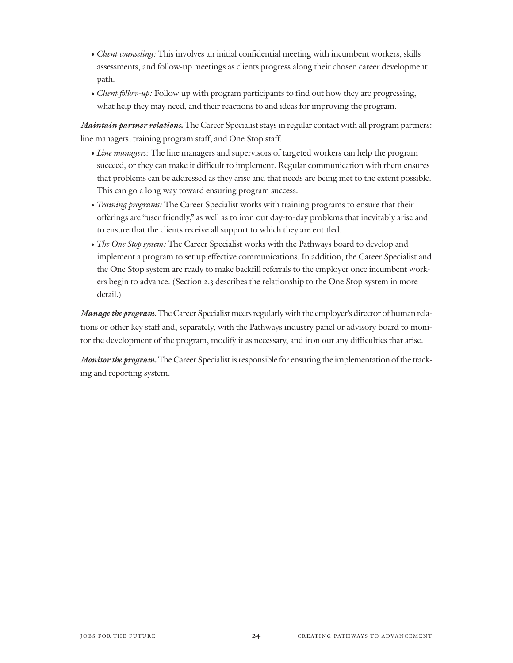- Client counseling: This involves an initial confidential meeting with incumbent workers, skills assessments, and follow-up meetings as clients progress along their chosen career development path.
- *Client follow-up*: Follow up with program participants to find out how they are progressing, what help they may need, and their reactions to and ideas for improving the program.

*Maintain partner relations***.** The Career Specialist stays in regular contact with all program partners: line managers, training program staff, and One Stop staff.

- Line managers: The line managers and supervisors of targeted workers can help the program succeed, or they can make it difficult to implement. Regular communication with them ensures that problems can be addressed as they arise and that needs are being met to the extent possible. This can go a long way toward ensuring program success.
- Training programs: The Career Specialist works with training programs to ensure that their offerings are "user friendly," as well as to iron out day-to-day problems that inevitably arise and to ensure that the clients receive all support to which they are entitled.
- The One Stop system: The Career Specialist works with the Pathways board to develop and implement a program to set up effective communications. In addition, the Career Specialist and the One Stop system are ready to make backfill referrals to the employer once incumbent workers begin to advance. (Section 2.3 describes the relationship to the One Stop system in more detail.)

*Manage the program***.**The Career Specialist meets regularly with the employer's director of human relations or other key staff and, separately, with the Pathways industry panel or advisory board to monitor the development of the program, modify it as necessary, and iron out any difficulties that arise.

*Monitor the program***.**The Career Specialist is responsible for ensuring the implementation of the tracking and reporting system.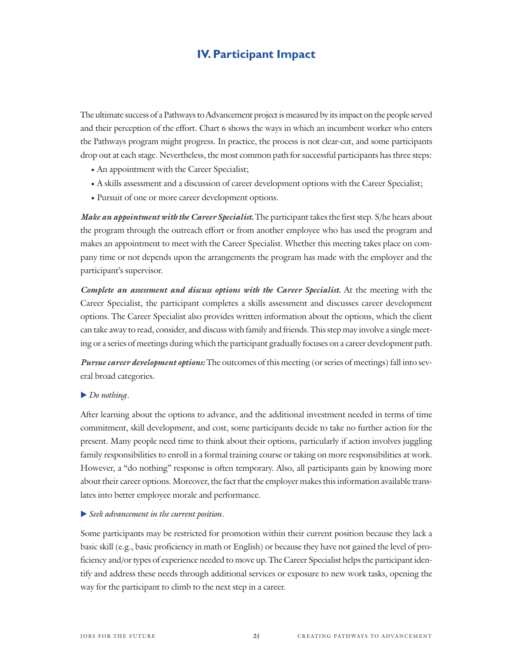## **IV. Participant Impact**

The ultimate success of a Pathways to Advancement project is measured by its impact on the people served and their perception of the effort. Chart 6 shows the ways in which an incumbent worker who enters the Pathways program might progress. In practice, the process is not clear-cut, and some participants drop out at each stage. Nevertheless, the most common path for successful participants has three steps:

- An appointment with the Career Specialist;
- A skills assessment and a discussion of career development options with the Career Specialist;
- Pursuit of one or more career development options.

*Make an appointment with the Career Specialist.* The participant takes the first step. S/he hears about the program through the outreach effort or from another employee who has used the program and makes an appointment to meet with the Career Specialist. Whether this meeting takes place on company time or not depends upon the arrangements the program has made with the employer and the participant's supervisor.

*Complete an assessment and discuss options with the Career Specialist.* At the meeting with the Career Specialist, the participant completes a skills assessment and discusses career development options. The Career Specialist also provides written information about the options, which the client can take away to read, consider, and discuss with family and friends. This step may involve a single meeting or a series of meetings during which the participant gradually focuses on a career development path.

*Pursue career development options:* The outcomes of this meeting (or series of meetings) fall into several broad categories.

#### Do nothing.

After learning about the options to advance, and the additional investment needed in terms of time commitment, skill development, and cost, some participants decide to take no further action for the present. Many people need time to think about their options, particularly if action involves juggling family responsibilities to enroll in a formal training course or taking on more responsibilities at work. However, a "do nothing" response is often temporary. Also, all participants gain by knowing more about their career options. Moreover, the fact that the employer makes this information available translates into better employee morale and performance.

Seek advancement in the current position.

Some participants may be restricted for promotion within their current position because they lack a basic skill (e.g., basic proficiency in math or English) or because they have not gained the level of proficiency and/or types of experience needed to move up. The Career Specialist helps the participant identify and address these needs through additional services or exposure to new work tasks, opening the way for the participant to climb to the next step in a career.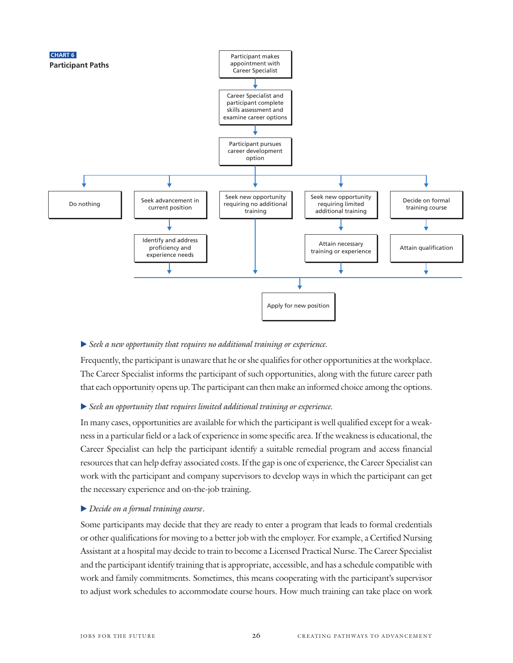

#### Seek a new opportunity that requires no additional training or experience.

Frequently, the participant is unaware that he or she qualifies for other opportunities at the workplace. The Career Specialist informs the participant of such opportunities, along with the future career path that each opportunity opens up. The participant can then make an informed choice among the options.

#### Seek an opportunity that requires limited additional training or experience.

In many cases, opportunities are available for which the participant is well qualified except for a weakness in a particular field or a lack of experience in some specific area. If the weakness is educational, the Career Specialist can help the participant identify a suitable remedial program and access financial resources that can help defray associated costs. If the gap is one of experience, the Career Specialist can work with the participant and company supervisors to develop ways in which the participant can get the necessary experience and on-the-job training.

#### ▶ Decide on a formal training course.

Some participants may decide that they are ready to enter a program that leads to formal credentials or other qualifications for moving to a better job with the employer. For example, a Certified Nursing Assistant at a hospital may decide to train to become a Licensed Practical Nurse. The Career Specialist and the participant identify training that is appropriate, accessible, and has a schedule compatible with work and family commitments. Sometimes, this means cooperating with the participant's supervisor to adjust work schedules to accommodate course hours. How much training can take place on work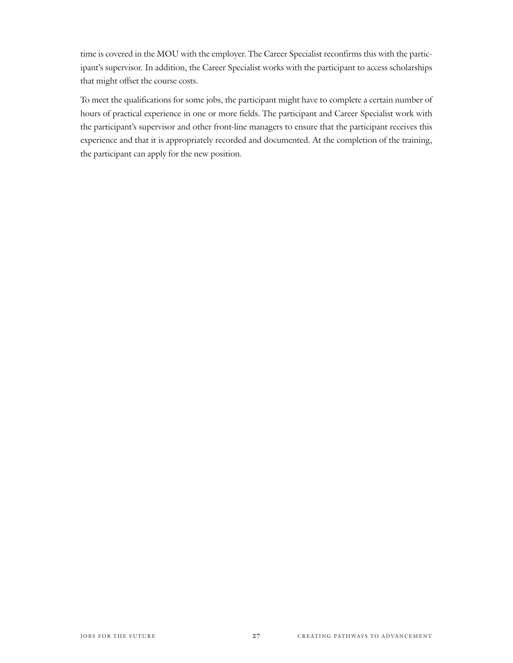time is covered in the MOU with the employer. The Career Specialist reconfirms this with the participant's supervisor. In addition, the Career Specialist works with the participant to access scholarships that might offset the course costs.

To meet the qualifications for some jobs, the participant might have to complete a certain number of hours of practical experience in one or more fields. The participant and Career Specialist work with the participant's supervisor and other front-line managers to ensure that the participant receives this experience and that it is appropriately recorded and documented. At the completion of the training, the participant can apply for the new position.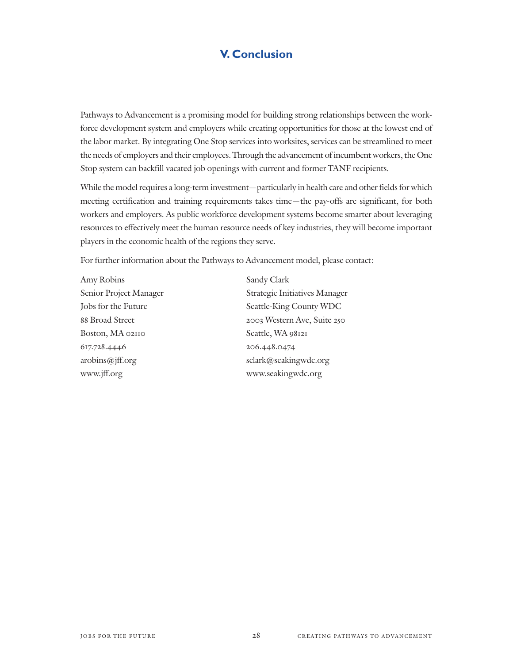## **V. Conclusion**

Pathways to Advancement is a promising model for building strong relationships between the workforce development system and employers while creating opportunities for those at the lowest end of the labor market. By integrating One Stop services into worksites, services can be streamlined to meet the needs of employers and their employees. Through the advancement of incumbent workers, the One Stop system can backfill vacated job openings with current and former TANF recipients.

While the model requires a long-term investment—particularly in health care and other fields for which meeting certification and training requirements takes time—the pay-offs are significant, for both workers and employers. As public workforce development systems become smarter about leveraging resources to effectively meet the human resource needs of key industries, they will become important players in the economic health of the regions they serve.

For further information about the Pathways to Advancement model, please contact:

Amy Robins Sandy Clark Boston, MA 02110 Seattle, WA 98121 617.728.4446 206.448.0474 www.jff.org www.seakingwdc.org

Senior Project Manager Strategic Initiatives Manager Jobs for the Future Seattle-King County WDC 88 Broad Street 2003 Western Ave, Suite 250 arobins@jff.org sclark@seakingwdc.org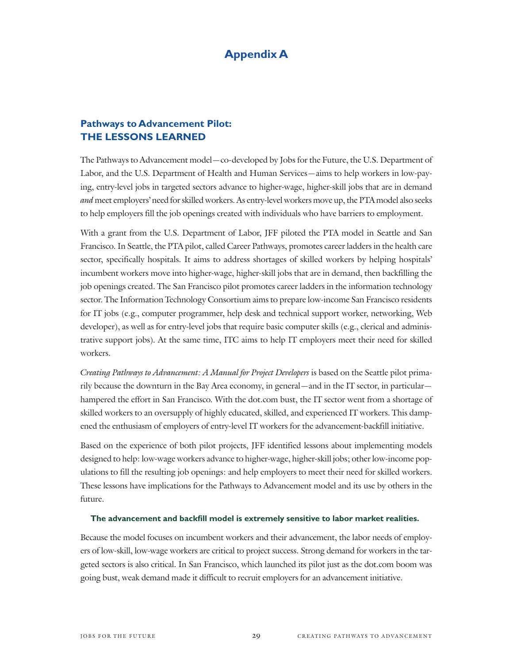## **Appendix A**

## **Pathways to Advancement Pilot: THE LESSONS LEARNED**

The Pathways to Advancement model—co-developed by Jobs for the Future, the U.S. Department of Labor, and the U.S. Department of Health and Human Services—aims to help workers in low-paying, entry-level jobs in targeted sectors advance to higher-wage, higher-skill jobs that are in demand and meet employers' need for skilled workers. As entry-level workers move up, the PTA model also seeks to help employers fill the job openings created with individuals who have barriers to employment.

With a grant from the U.S. Department of Labor, JFF piloted the PTA model in Seattle and San Francisco. In Seattle, the PTA pilot, called Career Pathways, promotes career ladders in the health care sector, specifically hospitals. It aims to address shortages of skilled workers by helping hospitals' incumbent workers move into higher-wage, higher-skill jobs that are in demand, then backfilling the job openings created. The San Francisco pilot promotes career ladders in the information technology sector. The Information Technology Consortium aims to prepare low-income San Francisco residents for IT jobs (e.g., computer programmer, help desk and technical support worker, networking, Web developer), as well as for entry-level jobs that require basic computer skills (e.g., clerical and administrative support jobs). At the same time, ITC aims to help IT employers meet their need for skilled workers.

Creating Pathways to Advancement: A Manual for Project Developers is based on the Seattle pilot primarily because the downturn in the Bay Area economy, in general—and in the IT sector, in particular hampered the effort in San Francisco. With the dot.com bust, the IT sector went from a shortage of skilled workers to an oversupply of highly educated, skilled, and experienced IT workers. This dampened the enthusiasm of employers of entry-level IT workers for the advancement-backfill initiative.

Based on the experience of both pilot projects, JFF identified lessons about implementing models designed to help: low-wage workers advance to higher-wage, higher-skill jobs; other low-income populations to fill the resulting job openings: and help employers to meet their need for skilled workers. These lessons have implications for the Pathways to Advancement model and its use by others in the future.

#### **The advancement and backfill model is extremely sensitive to labor market realities.**

Because the model focuses on incumbent workers and their advancement, the labor needs of employers of low-skill, low-wage workers are critical to project success. Strong demand for workers in the targeted sectors is also critical. In San Francisco, which launched its pilot just as the dot.com boom was going bust, weak demand made it difficult to recruit employers for an advancement initiative.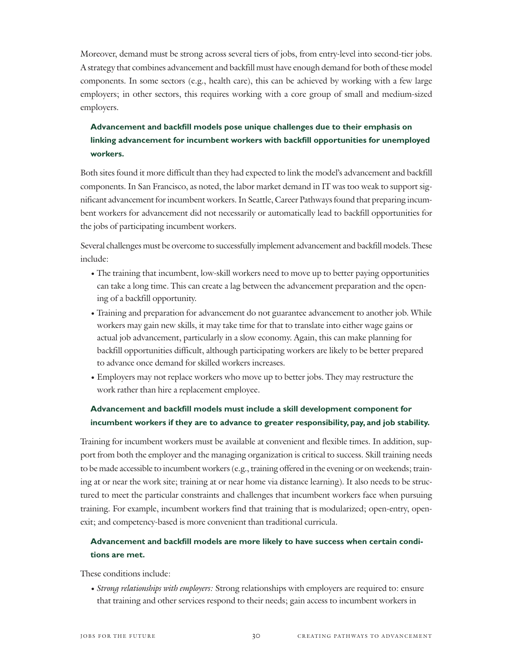Moreover, demand must be strong across several tiers of jobs, from entry-level into second-tier jobs. A strategy that combines advancement and backfill must have enough demand for both of these model components. In some sectors (e.g., health care), this can be achieved by working with a few large employers; in other sectors, this requires working with a core group of small and medium-sized employers.

## **Advancement and backfill models pose unique challenges due to their emphasis on linking advancement for incumbent workers with backfill opportunities for unemployed workers.**

Both sites found it more difficult than they had expected to link the model's advancement and backfill components. In San Francisco, as noted, the labor market demand in IT was too weak to support significant advancement for incumbent workers. In Seattle, Career Pathways found that preparing incumbent workers for advancement did not necessarily or automatically lead to backfill opportunities for the jobs of participating incumbent workers.

Several challenges must be overcome to successfully implement advancement and backfill models. These include:

- The training that incumbent, low-skill workers need to move up to better paying opportunities can take a long time. This can create a lag between the advancement preparation and the opening of a backfill opportunity.
- Training and preparation for advancement do not guarantee advancement to another job. While workers may gain new skills, it may take time for that to translate into either wage gains or actual job advancement, particularly in a slow economy. Again, this can make planning for backfill opportunities difficult, although participating workers are likely to be better prepared to advance once demand for skilled workers increases.
- Employers may not replace workers who move up to better jobs. They may restructure the work rather than hire a replacement employee.

## **Advancement and backfill models must include a skill development component for incumbent workers if they are to advance to greater responsibility, pay, and job stability.**

Training for incumbent workers must be available at convenient and flexible times. In addition, support from both the employer and the managing organization is critical to success. Skill training needs to be made accessible to incumbent workers (e.g., training offered in the evening or on weekends; training at or near the work site; training at or near home via distance learning). It also needs to be structured to meet the particular constraints and challenges that incumbent workers face when pursuing training. For example, incumbent workers find that training that is modularized; open-entry, openexit; and competency-based is more convenient than traditional curricula.

### **Advancement and backfill models are more likely to have success when certain conditions are met.**

These conditions include:

• Strong relationships with employers: Strong relationships with employers are required to: ensure that training and other services respond to their needs; gain access to incumbent workers in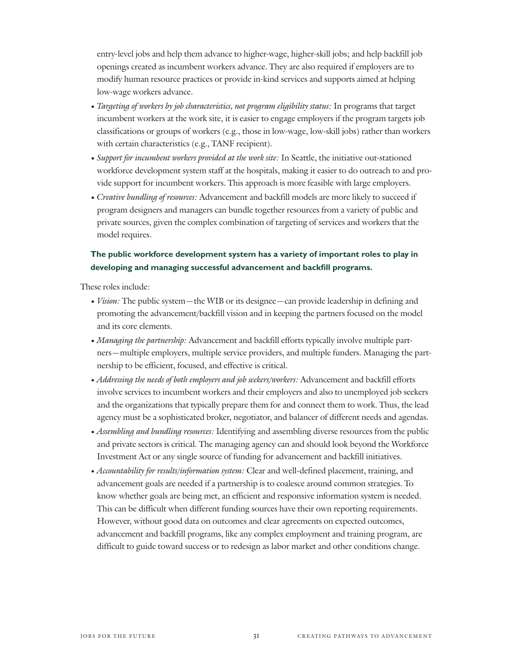entry-level jobs and help them advance to higher-wage, higher-skill jobs; and help backfill job openings created as incumbent workers advance. They are also required if employers are to modify human resource practices or provide in-kind services and supports aimed at helping low-wage workers advance.

- Targeting of workers by job characteristics, not program eligibility status: In programs that target incumbent workers at the work site, it is easier to engage employers if the program targets job classifications or groups of workers (e.g., those in low-wage, low-skill jobs) rather than workers with certain characteristics (e.g., TANF recipient).
- Support for incumbent workers provided at the work site: In Seattle, the initiative out-stationed workforce development system staff at the hospitals, making it easier to do outreach to and provide support for incumbent workers. This approach is more feasible with large employers.
- Creative bundling of resources: Advancement and backfill models are more likely to succeed if program designers and managers can bundle together resources from a variety of public and private sources, given the complex combination of targeting of services and workers that the model requires.

## **The public workforce development system has a variety of important roles to play in developing and managing successful advancement and backfill programs.**

These roles include:

- *Vision*: The public system—the WIB or its designee—can provide leadership in defining and promoting the advancement/backfill vision and in keeping the partners focused on the model and its core elements.
- Managing the partnership: Advancement and backfill efforts typically involve multiple partners—multiple employers, multiple service providers, and multiple funders. Managing the partnership to be efficient, focused, and effective is critical.
- Addressing the needs of both employers and job seekers/workers: Advancement and backfill efforts involve services to incumbent workers and their employers and also to unemployed job seekers and the organizations that typically prepare them for and connect them to work. Thus, the lead agency must be a sophisticated broker, negotiator, and balancer of different needs and agendas.
- Assembling and bundling resources: Identifying and assembling diverse resources from the public and private sectors is critical. The managing agency can and should look beyond the Workforce Investment Act or any single source of funding for advancement and backfill initiatives.
- Accountability for results/information system: Clear and well-defined placement, training, and advancement goals are needed if a partnership is to coalesce around common strategies. To know whether goals are being met, an efficient and responsive information system is needed. This can be difficult when different funding sources have their own reporting requirements. However, without good data on outcomes and clear agreements on expected outcomes, advancement and backfill programs, like any complex employment and training program, are difficult to guide toward success or to redesign as labor market and other conditions change.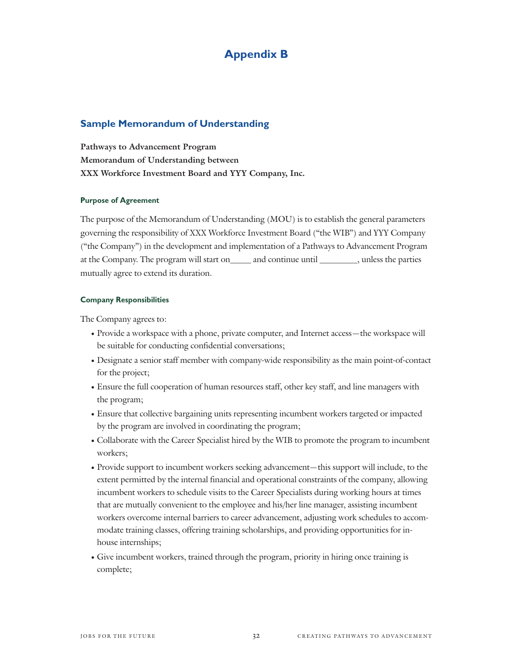## **Appendix B**

#### **Sample Memorandum of Understanding**

**Pathways to Advancement Program Memorandum of Understanding between XXX Workforce Investment Board and YYY Company, Inc.**

#### Purpose of Agreement

The purpose of the Memorandum of Understanding (MOU) is to establish the general parameters governing the responsibility of XXX Workforce Investment Board ("the WIB") and YYY Company ("the Company") in the development and implementation of a Pathways to Advancement Program at the Company. The program will start on\_\_\_\_\_ and continue until \_\_\_\_\_\_\_\_\_, unless the parties mutually agree to extend its duration.

#### Company Responsibilities

The Company agrees to:

- Provide a workspace with a phone, private computer, and Internet access—the workspace will be suitable for conducting confidential conversations;
- Designate a senior staff member with company-wide responsibility as the main point-of-contact for the project;
- Ensure the full cooperation of human resources staff, other key staff, and line managers with the program;
- Ensure that collective bargaining units representing incumbent workers targeted or impacted by the program are involved in coordinating the program;
- Collaborate with the Career Specialist hired by the WIB to promote the program to incumbent workers;
- Provide support to incumbent workers seeking advancement—this support will include, to the extent permitted by the internal financial and operational constraints of the company, allowing incumbent workers to schedule visits to the Career Specialists during working hours at times that are mutually convenient to the employee and his/her line manager, assisting incumbent workers overcome internal barriers to career advancement, adjusting work schedules to accommodate training classes, offering training scholarships, and providing opportunities for inhouse internships;
- Give incumbent workers, trained through the program, priority in hiring once training is complete;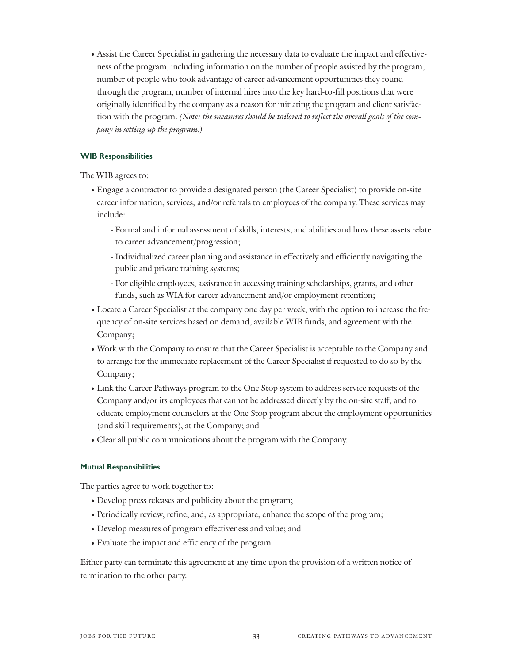• Assist the Career Specialist in gathering the necessary data to evaluate the impact and effectiveness of the program, including information on the number of people assisted by the program, number of people who took advantage of career advancement opportunities they found through the program, number of internal hires into the key hard-to-fill positions that were originally identified by the company as a reason for initiating the program and client satisfaction with the program. (Note: the measures should be tailored to reflect the overall goals of the company in setting up the program.)

#### WIB Responsibilities

The WIB agrees to:

- Engage a contractor to provide a designated person (the Career Specialist) to provide on-site career information, services, and/or referrals to employees of the company. These services may include:
	- Formal and informal assessment of skills, interests, and abilities and how these assets relate to career advancement/progression;
	- Individualized career planning and assistance in effectively and efficiently navigating the public and private training systems;
	- For eligible employees, assistance in accessing training scholarships, grants, and other funds, such as WIA for career advancement and/or employment retention;
- Locate a Career Specialist at the company one day per week, with the option to increase the frequency of on-site services based on demand, available WIB funds, and agreement with the Company;
- Work with the Company to ensure that the Career Specialist is acceptable to the Company and to arrange for the immediate replacement of the Career Specialist if requested to do so by the Company;
- Link the Career Pathways program to the One Stop system to address service requests of the Company and/or its employees that cannot be addressed directly by the on-site staff, and to educate employment counselors at the One Stop program about the employment opportunities (and skill requirements), at the Company; and
- Clear all public communications about the program with the Company.

#### Mutual Responsibilities

The parties agree to work together to:

- Develop press releases and publicity about the program;
- Periodically review, refine, and, as appropriate, enhance the scope of the program;
- Develop measures of program effectiveness and value; and
- Evaluate the impact and efficiency of the program.

Either party can terminate this agreement at any time upon the provision of a written notice of termination to the other party.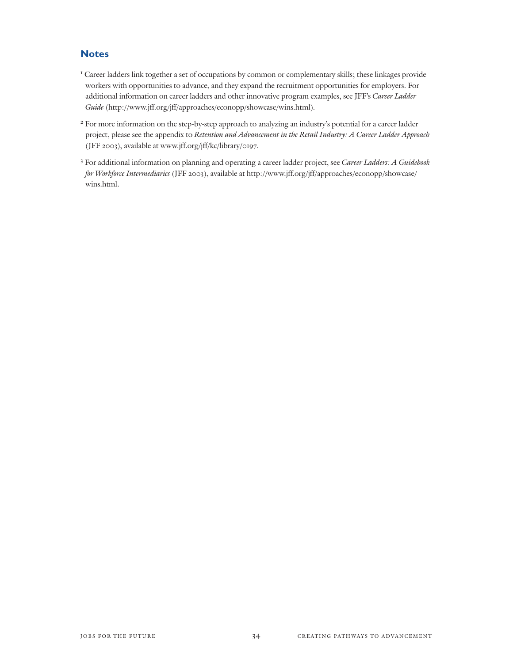#### **Notes**

- <sup>1</sup> Career ladders link together a set of occupations by common or complementary skills; these linkages provide workers with opportunities to advance, and they expand the recruitment opportunities for employers. For additional information on career ladders and other innovative program examples, see JFF's Career Ladder Guide (http://www.jff.org/jff/approaches/econopp/showcase/wins.html).
- <sup>2</sup> For more information on the step-by-step approach to analyzing an industry's potential for a career ladder project, please see the appendix to Retention and Advancement in the Retail Industry: A Career Ladder Approach (JFF 2003), available at www.jff.org/jff/kc/library/0197.
- <sup>3</sup> For additional information on planning and operating a career ladder project, see Career Ladders: A Guidebook for Workforce Intermediaries (JFF 2003), available at http://www.jff.org/jff/approaches/econopp/showcase/ wins.html.